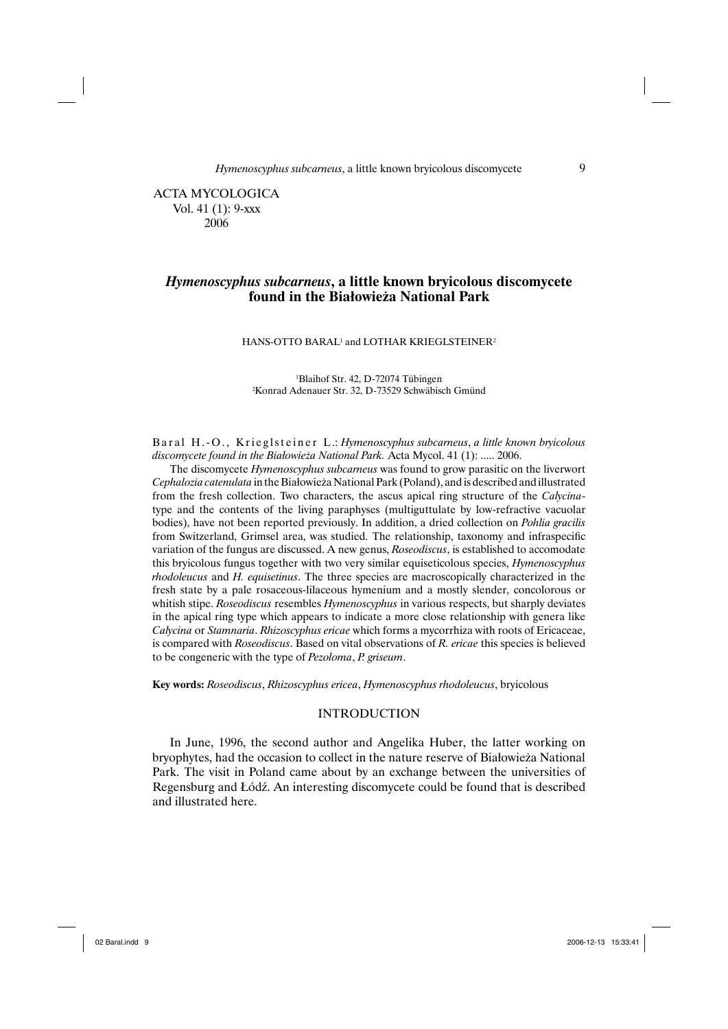*Hymenoscyphus subcarneus*, a little known bryicolous discomycete 9

 ACTA MYCOLOGICA Vol. 41 (1): 9-xxx 2006

# *Hymenoscyphus subcarneus***, a little known bryicolous discomycete found in the Białowieża National Park**

#### HANS-OTTO BARAL<sup>1</sup> and LOTHAR KRIEGLSTEINER<sup>2</sup>

1 Blaihof Str. 42, D-72074 Tübingen 2 Konrad Adenauer Str. 32, D-73529 Schwäbisch Gmünd

B a r a l H .- O ., K rieglsteiner L .: *Hymenoscyphus subcarneus*, a little known bryicolous *discomycete found in the Białowieża National Park.* Acta Mycol. 41 (1): ..... 2006.

The discomycete *Hymenoscyphus subcarneus* was found to grow parasitic on the liverwort *Cephalozia catenulata* in the Białowieża National Park (Poland), and is described and illustrated from the fresh collection. Two characters, the ascus apical ring structure of the *Calycina*type and the contents of the living paraphyses (multiguttulate by low-refractive vacuolar bodies), have not been reported previously. In addition, a dried collection on *Pohlia gracilis* from Switzerland, Grimsel area, was studied. The relationship, taxonomy and infraspecific variation of the fungus are discussed. A new genus, *Roseodiscus*, is established to accomodate this bryicolous fungus together with two very similar equiseticolous species, *Hymenoscyphus rhodoleucus* and *H. equisetinus*. The three species are macroscopically characterized in the fresh state by a pale rosaceous-lilaceous hymenium and a mostly slender, concolorous or whitish stipe. *Roseodiscus* resembles *Hymenoscyphus* in various respects, but sharply deviates in the apical ring type which appears to indicate a more close relationship with genera like *Calycina* or *Stamnaria*. *Rhizoscyphus ericae* which forms a mycorrhiza with roots of Ericaceae, is compared with *Roseodiscus*. Based on vital observations of *R. ericae* this species is believed to be congeneric with the type of *Pezoloma*, *P. griseum*.

**Key words:** *Roseodiscus*, *Rhizoscyphus ericea*, *Hymenoscyphus rhodoleucus*, bryicolous

### INTRODUCTION

In June, 1996, the second author and Angelika Huber, the latter working on bryophytes, had the occasion to collect in the nature reserve of Białowieża National Park. The visit in Poland came about by an exchange between the universities of Regensburg and Łódź. An interesting discomycete could be found that is described and illustrated here.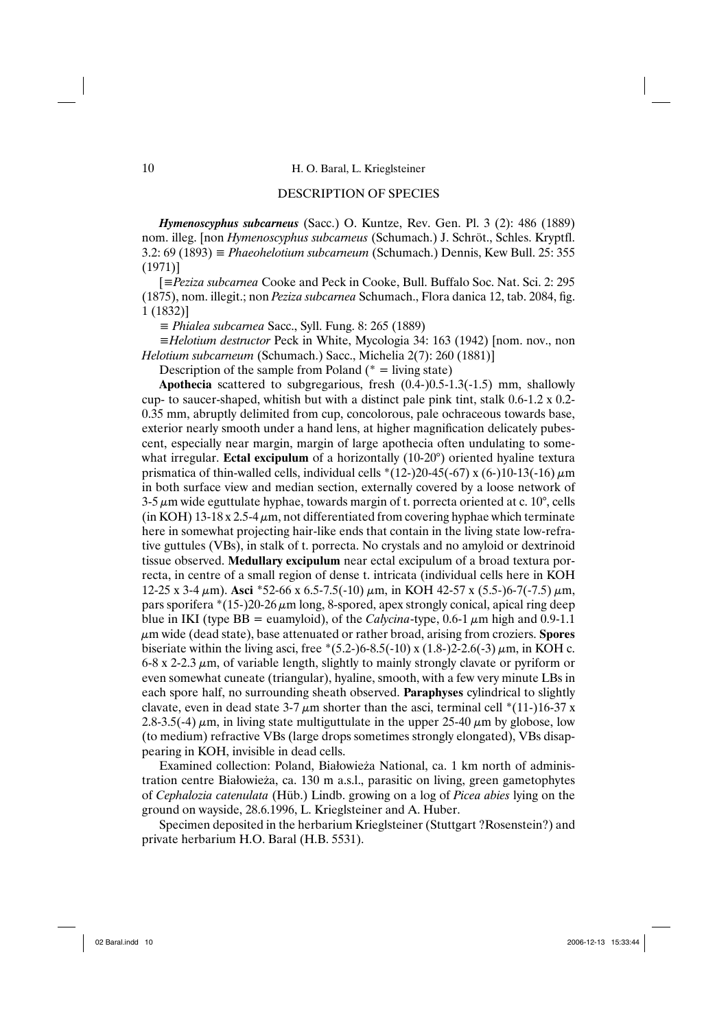#### DESCRIPTION OF SPECIES

*Hymenoscyphus subcarneus* (Sacc.) O. Kuntze, Rev. Gen. Pl. 3 (2): 486 (1889) nom. illeg. [non *Hymenoscyphus subcarneus* (Schumach.) J. Schröt., Schles. Kryptfl. 3.2: 69 (1893) *≡ Phaeohelotium subcarneum* (Schumach.) Dennis, Kew Bull. 25: 355 (1971)]

[*≡Peziza subcarnea* Cooke and Peck in Cooke, Bull. Buffalo Soc. Nat. Sci. 2: 295 (1875), nom. illegit.; non *Peziza subcarnea* Schumach., Flora danica 12, tab. 2084, fig. 1 (1832)]

*≡ Phialea subcarnea* Sacc., Syll. Fung. 8: 265 (1889)

*≡Helotium destructor* Peck in White, Mycologia 34: 163 (1942) [nom. nov., non *Helotium subcarneum* (Schumach.) Sacc., Michelia 2(7): 260 (1881)]

Description of the sample from Poland  $(*)$  = living state)

**Apothecia** scattered to subgregarious, fresh (0.4-)0.5-1.3(-1.5) mm, shallowly cup- to saucer-shaped, whitish but with a distinct pale pink tint, stalk 0.6-1.2 x 0.2- 0.35 mm, abruptly delimited from cup, concolorous, pale ochraceous towards base, exterior nearly smooth under a hand lens, at higher magnification delicately pubescent, especially near margin, margin of large apothecia often undulating to somewhat irregular. **Ectal excipulum** of a horizontally (10-20°) oriented hyaline textura prismatica of thin-walled cells, individual cells  $*(12-)20-45(-67) \times (6-)10-13(-16) \mu m$ in both surface view and median section, externally covered by a loose network of  $3-5 \mu m$  wide eguttulate hyphae, towards margin of t. porrecta oriented at c. 10 $^{\circ}$ , cells (in KOH) 13-18 x 2.5-4  $\mu$ m, not differentiated from covering hyphae which terminate here in somewhat projecting hair-like ends that contain in the living state low-refrative guttules (VBs), in stalk of t. porrecta. No crystals and no amyloid or dextrinoid tissue observed. **Medullary excipulum** near ectal excipulum of a broad textura porrecta, in centre of a small region of dense t. intricata (individual cells here in KOH 12-25 x 3-4 μm). **Asci** \*52-66 x 6.5-7.5(-10) μm, in KOH 42-57 x (5.5-)6-7(-7.5) μm, pars sporifera  $*(15-)20-26 \mu m$  long, 8-spored, apex strongly conical, apical ring deep blue in IKI (type BB = euamyloid), of the *Calycina*-type, 0.6-1  $\mu$ m high and 0.9-1.1 μm wide (dead state), base attenuated or rather broad, arising from croziers. **Spores** biseriate within the living asci, free  $*(5.2-)6-8.5(-10) \times (1.8-)2-2.6(-3) \mu m$ , in KOH c.  $6-8$  x 2-2.3  $\mu$ m, of variable length, slightly to mainly strongly clavate or pyriform or even somewhat cuneate (triangular), hyaline, smooth, with a few very minute LBs in each spore half, no surrounding sheath observed. **Paraphyses** cylindrical to slightly clavate, even in dead state  $3-7 \mu$ m shorter than the asci, terminal cell \*(11-)16-37 x 2.8-3.5(-4)  $\mu$ m, in living state multiguttulate in the upper 25-40  $\mu$ m by globose, low (to medium) refractive VBs (large drops sometimes strongly elongated), VBs disappearing in KOH, invisible in dead cells.

Examined collection: Poland, Białowieża National, ca. 1 km north of administration centre Białowieża, ca. 130 m a.s.l., parasitic on living, green gametophytes of *Cephalozia catenulata* (Hüb.) Lindb. growing on a log of *Picea abies* lying on the ground on wayside, 28.6.1996, L. Krieglsteiner and A. Huber.

Specimen deposited in the herbarium Krieglsteiner (Stuttgart ?Rosenstein?) and private herbarium H.O. Baral (H.B. 5531).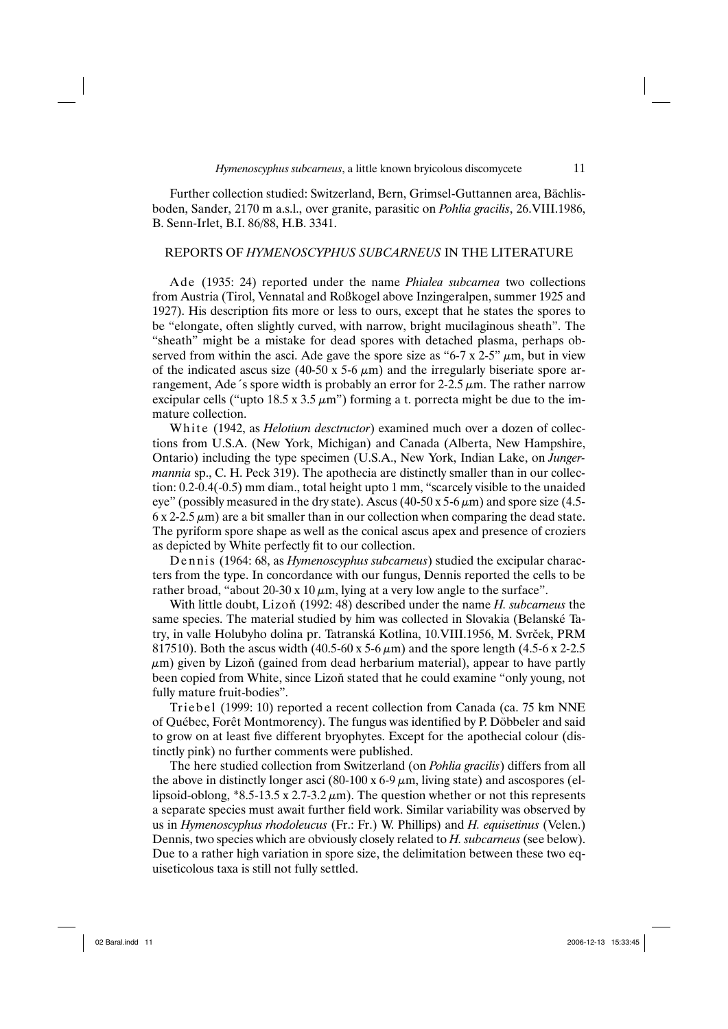Further collection studied: Switzerland, Bern, Grimsel-Guttannen area, Bächlisboden, Sander, 2170 m a.s.l., over granite, parasitic on *Pohlia gracilis*, 26.VIII.1986, B. Senn-Irlet, B.I. 86/88, H.B. 3341.

#### REPORTS OF *HYMENOSCYPHUS SUBCARNEUS* IN THE LITERATURE

Ade (1935: 24) reported under the name *Phialea subcarnea* two collections from Austria (Tirol, Vennatal and Roßkogel above Inzingeralpen, summer 1925 and 1927). His description fits more or less to ours, except that he states the spores to be "elongate, often slightly curved, with narrow, bright mucilaginous sheath". The "sheath" might be a mistake for dead spores with detached plasma, perhaps observed from within the asci. Ade gave the spore size as " $6-7 \times 2-5$ "  $\mu$ m, but in view of the indicated ascus size  $(40-50 \times 5-6 \mu m)$  and the irregularly biseriate spore arrangement, Ade´s spore width is probably an error for  $2-2.5 \mu m$ . The rather narrow excipular cells ("upto  $18.5 \times 3.5 \mu m$ ") forming a t. porrecta might be due to the immature collection.

White (1942, as *Helotium desctructor*) examined much over a dozen of collections from U.S.A. (New York, Michigan) and Canada (Alberta, New Hampshire, Ontario) including the type specimen (U.S.A., New York, Indian Lake, on *Jungermannia* sp., C. H. Peck 319). The apothecia are distinctly smaller than in our collection: 0.2-0.4(-0.5) mm diam., total height upto 1 mm, "scarcely visible to the unaided eye" (possibly measured in the dry state). Ascus (40-50 x 5-6  $\mu$ m) and spore size (4.5- $6 \times 2-2.5 \mu m$ ) are a bit smaller than in our collection when comparing the dead state. The pyriform spore shape as well as the conical ascus apex and presence of croziers as depicted by White perfectly fit to our collection.

Dennis (1964: 68, as *Hymenoscyphus subcarneus*) studied the excipular characters from the type. In concordance with our fungus, Dennis reported the cells to be rather broad, "about 20-30 x 10  $\mu$ m, lying at a very low angle to the surface".

With little doubt, Lizoň (1992: 48) described under the name *H. subcarneus* the same species. The material studied by him was collected in Slovakia (Belanské Tatry, in valle Holubyho dolina pr. Tatranská Kotlina, 10.VIII.1956, M. Svrček, PRM 817510). Both the ascus width  $(40.5-60 \text{ x } 5-6 \mu \text{m})$  and the spore length  $(4.5-6 \text{ x } 2-2.5 \text{ m})$  $\mu$ m) given by Lizoň (gained from dead herbarium material), appear to have partly been copied from White, since Lizoň stated that he could examine "only young, not fully mature fruit-bodies".

Triebel (1999: 10) reported a recent collection from Canada (ca. 75 km NNE of Québec, Forêt Montmorency). The fungus was identified by P. Döbbeler and said to grow on at least five different bryophytes. Except for the apothecial colour (distinctly pink) no further comments were published.

The here studied collection from Switzerland (on *Pohlia gracilis*) differs from all the above in distinctly longer asci (80-100 x 6-9  $\mu$ m, living state) and ascospores (ellipsoid-oblong,  $*8.5-13.5 \times 2.7-3.2 \mu m$ ). The question whether or not this represents a separate species must await further field work. Similar variability was observed by us in *Hymenoscyphus rhodoleucus* (Fr.: Fr.) W. Phillips) and *H. equisetinus* (Velen.) Dennis, two species which are obviously closely related to *H. subcarneus* (see below). Due to a rather high variation in spore size, the delimitation between these two equiseticolous taxa is still not fully settled.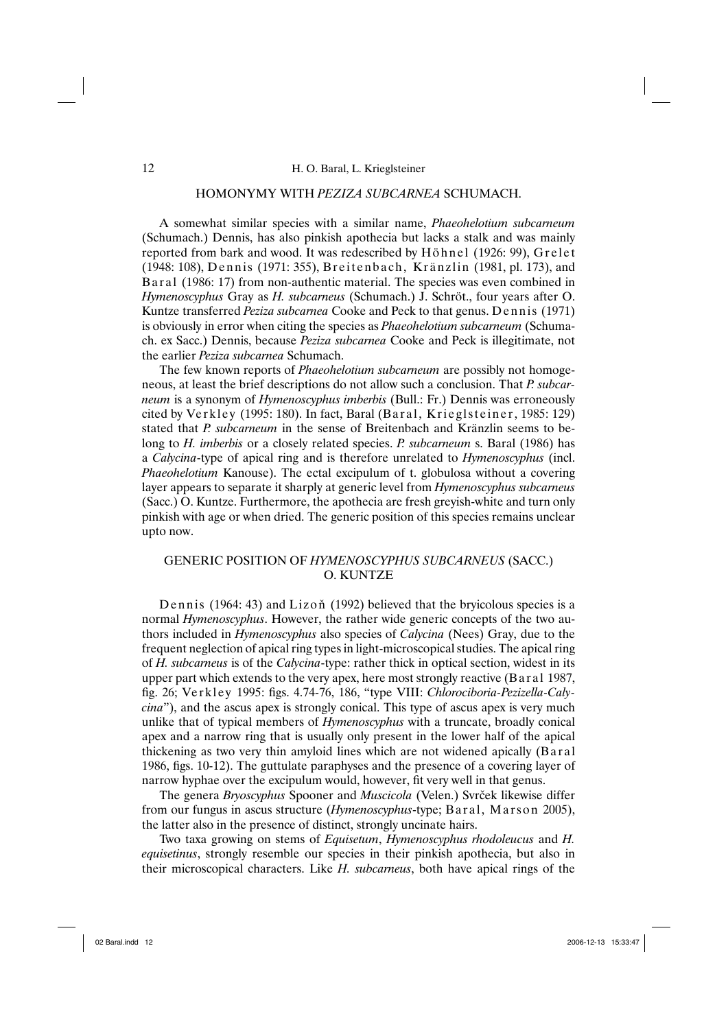# HOMONYMY WITH *PEZIZA SUBCARNEA* SCHUMACH.

A somewhat similar species with a similar name, *Phaeohelotium subcarneum* (Schumach.) Dennis, has also pinkish apothecia but lacks a stalk and was mainly reported from bark and wood. It was redescribed by Höhnel (1926: 99), Grelet (1948: 108), Dennis (1971: 355), Breitenbach, Kränzlin (1981, pl. 173), and Baral (1986: 17) from non-authentic material. The species was even combined in *Hymenoscyphus* Gray as *H. subcarneus* (Schumach.) J. Schröt., four years after O. Kuntze transferred *Peziza subcarnea* Cooke and Peck to that genus. Dennis (1971) is obviously in error when citing the species as *Phaeohelotium subcarneum* (Schumach. ex Sacc.) Dennis, because *Peziza subcarnea* Cooke and Peck is illegitimate, not the earlier *Peziza subcarnea* Schumach.

The few known reports of *Phaeohelotium subcarneum* are possibly not homogeneous, at least the brief descriptions do not allow such a conclusion. That *P. subcarneum* is a synonym of *Hymenoscyphus imberbis* (Bull.: Fr.) Dennis was erroneously cited by Verkley (1995: 180). In fact, Baral (Baral, Krieglsteiner, 1985: 129) stated that *P. subcarneum* in the sense of Breitenbach and Kränzlin seems to belong to *H. imberbis* or a closely related species. *P. subcarneum* s. Baral (1986) has a *Calycina*-type of apical ring and is therefore unrelated to *Hymenoscyphus* (incl. *Phaeohelotium* Kanouse). The ectal excipulum of t. globulosa without a covering layer appears to separate it sharply at generic level from *Hymenoscyphus subcarneus*  (Sacc.) O. Kuntze. Furthermore, the apothecia are fresh greyish-white and turn only pinkish with age or when dried. The generic position of this species remains unclear upto now.

# GENERIC POSITION OF *HYMENOSCYPHUS SUBCARNEUS* (SACC.) O. KUNTZE

Dennis (1964: 43) and Lizoň (1992) believed that the bryicolous species is a normal *Hymenoscyphus*. However, the rather wide generic concepts of the two authors included in *Hymenoscyphus* also species of *Calycina* (Nees) Gray, due to the frequent neglection of apical ring types in light-microscopical studies. The apical ring of *H. subcarneus* is of the *Calycina*-type: rather thick in optical section, widest in its upper part which extends to the very apex, here most strongly reactive (Baral 1987, fig. 26; Ve rk l e y 1995: figs. 4.74-76, 186, "type VIII: *Chlorociboria-Pezizella-Calycina*"), and the ascus apex is strongly conical. This type of ascus apex is very much unlike that of typical members of *Hymenoscyphus* with a truncate, broadly conical apex and a narrow ring that is usually only present in the lower half of the apical thickening as two very thin amyloid lines which are not widened apically (Baral 1986, figs. 10-12). The guttulate paraphyses and the presence of a covering layer of narrow hyphae over the excipulum would, however, fit very well in that genus.

The genera *Bryoscyphus* Spooner and *Muscicola* (Velen.) Svrček likewise differ from our fungus in ascus structure *(Hymenoscyphus*-type; Baral, Marson 2005), the latter also in the presence of distinct, strongly uncinate hairs.

Two taxa growing on stems of *Equisetum*, *Hymenoscyphus rhodoleucus* and *H. equisetinus*, strongly resemble our species in their pinkish apothecia, but also in their microscopical characters. Like *H. subcarneus*, both have apical rings of the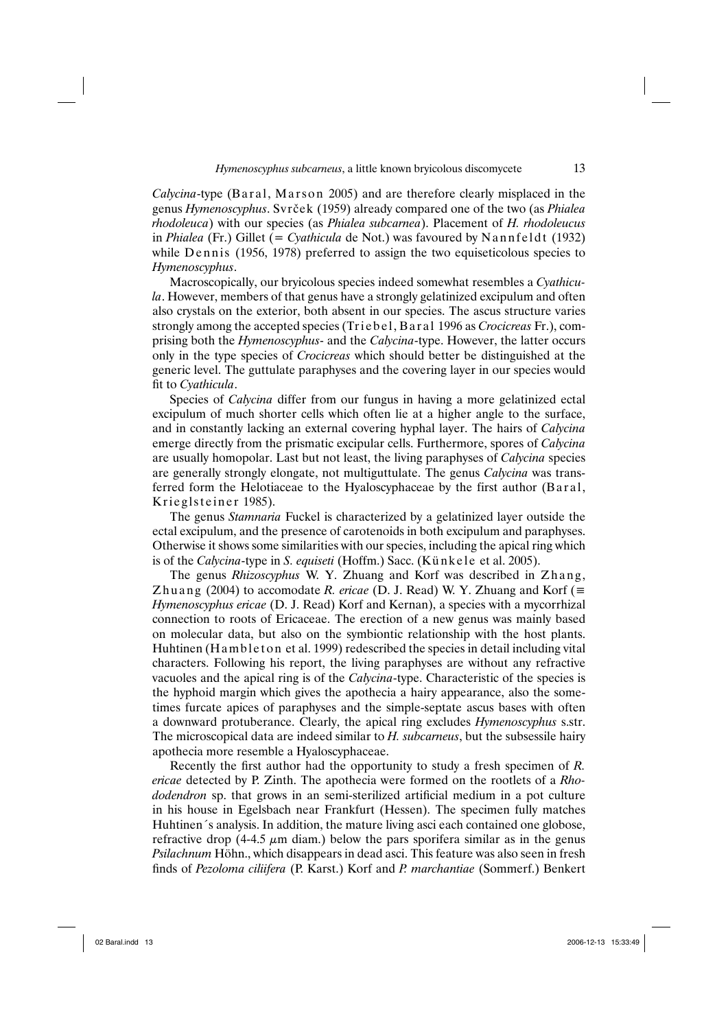*Calycina*-type (Baral, Marson 2005) and are therefore clearly misplaced in the genus *Hymenoscyphus*. Svrček (1959) already compared one of the two (as *Phialea rhodoleuca*) with our species (as *Phialea subcarnea*). Placement of *H. rhodoleucus* in *Phialea* (Fr.) Gillet (= *Cyathicula* de Not.) was favoured by Nannfeldt (1932) while Dennis (1956, 1978) preferred to assign the two equiseticolous species to *Hymenoscyphus*.

Macroscopically, our bryicolous species indeed somewhat resembles a *Cyathicula*. However, members of that genus have a strongly gelatinized excipulum and often also crystals on the exterior, both absent in our species. The ascus structure varies strongly among the accepted species (Triebel, Baral 1996 as *Crocicreas* Fr.), comprising both the *Hymenoscyphus*- and the *Calycina*-type. However, the latter occurs only in the type species of *Crocicreas* which should better be distinguished at the generic level. The guttulate paraphyses and the covering layer in our species would fit to *Cyathicula*.

Species of *Calycina* differ from our fungus in having a more gelatinized ectal excipulum of much shorter cells which often lie at a higher angle to the surface, and in constantly lacking an external covering hyphal layer. The hairs of *Calycina* emerge directly from the prismatic excipular cells. Furthermore, spores of *Calycina* are usually homopolar. Last but not least, the living paraphyses of *Calycina* species are generally strongly elongate, not multiguttulate. The genus *Calycina* was transferred form the Helotiaceae to the Hyaloscyphaceae by the first author (Baral, Krieglsteiner 1985).

The genus *Stamnaria* Fuckel is characterized by a gelatinized layer outside the ectal excipulum, and the presence of carotenoids in both excipulum and paraphyses. Otherwise it shows some similarities with our species, including the apical ring which is of the *Calycina*-type in *S. equiseti* (Hoffm.) Sacc. (Künkele et al. 2005).

The genus *Rhizoscyphus* W. Y. Zhuang and Korf was described in Zhang, Zhuang (2004) to accomodate *R. ericae* (D. J. Read) W. Y. Zhuang and Korf ( $\equiv$ *Hymenoscyphus ericae* (D. J. Read) Korf and Kernan), a species with a mycorrhizal connection to roots of Ericaceae. The erection of a new genus was mainly based on molecular data, but also on the symbiontic relationship with the host plants. Huhtinen (Ham b l e to n et al. 1999) redescribed the species in detail including vital characters. Following his report, the living paraphyses are without any refractive vacuoles and the apical ring is of the *Calycina*-type. Characteristic of the species is the hyphoid margin which gives the apothecia a hairy appearance, also the sometimes furcate apices of paraphyses and the simple-septate ascus bases with often a downward protuberance. Clearly, the apical ring excludes *Hymenoscyphus* s.str. The microscopical data are indeed similar to *H. subcarneus*, but the subsessile hairy apothecia more resemble a Hyaloscyphaceae.

Recently the first author had the opportunity to study a fresh specimen of *R. ericae* detected by P. Zinth. The apothecia were formed on the rootlets of a *Rhododendron* sp. that grows in an semi-sterilized artificial medium in a pot culture in his house in Egelsbach near Frankfurt (Hessen). The specimen fully matches Huhtinen´s analysis. In addition, the mature living asci each contained one globose, refractive drop (4-4.5  $\mu$ m diam.) below the pars sporifera similar as in the genus *Psilachnum* Höhn., which disappears in dead asci. This feature was also seen in fresh finds of *Pezoloma ciliifera* (P. Karst.) Korf and *P. marchantiae* (Sommerf.) Benkert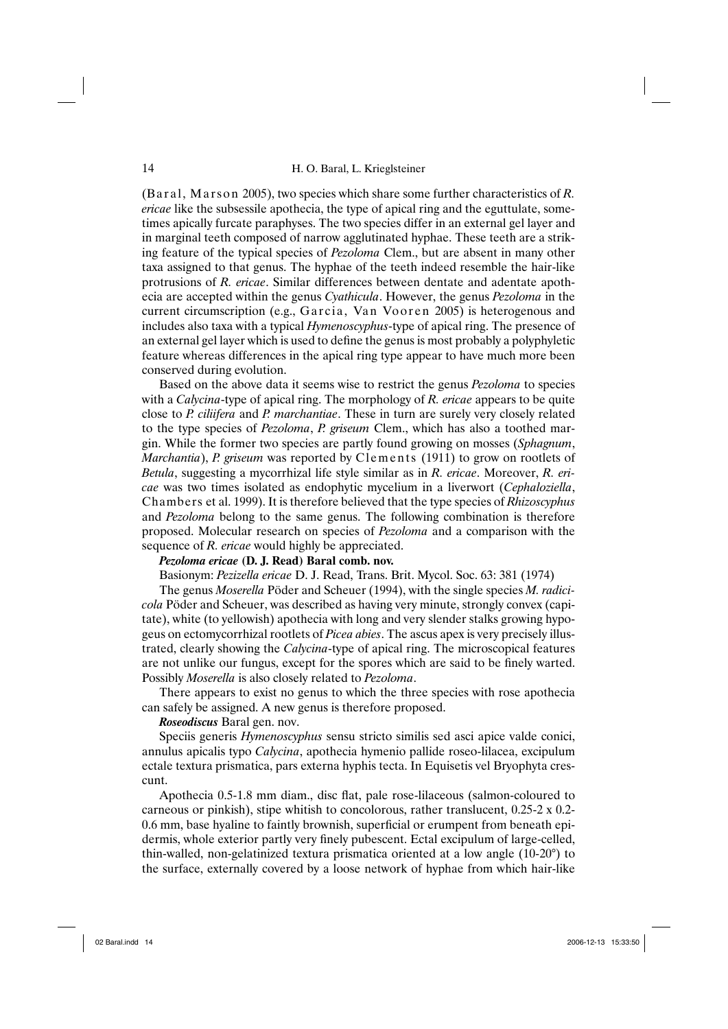(Baral, Marson 2005), two species which share some further characteristics of *R*. *ericae* like the subsessile apothecia, the type of apical ring and the eguttulate, sometimes apically furcate paraphyses. The two species differ in an external gel layer and in marginal teeth composed of narrow agglutinated hyphae. These teeth are a striking feature of the typical species of *Pezoloma* Clem., but are absent in many other taxa assigned to that genus. The hyphae of the teeth indeed resemble the hair-like protrusions of *R. ericae*. Similar differences between dentate and adentate apothecia are accepted within the genus *Cyathicula*. However, the genus *Pezoloma* in the current circumscription (e.g., Garcia, Van Vooren 2005) is heterogenous and includes also taxa with a typical *Hymenoscyphus*-type of apical ring. The presence of an external gel layer which is used to define the genus is most probably a polyphyletic feature whereas differences in the apical ring type appear to have much more been conserved during evolution.

Based on the above data it seems wise to restrict the genus *Pezoloma* to species with a *Calycina*-type of apical ring. The morphology of *R. ericae* appears to be quite close to *P. ciliifera* and *P. marchantiae*. These in turn are surely very closely related to the type species of *Pezoloma*, *P. griseum* Clem., which has also a toothed margin. While the former two species are partly found growing on mosses (*Sphagnum*, *Marchantia*), *P. griseum* was reported by Clements (1911) to grow on rootlets of *Betula*, suggesting a mycorrhizal life style similar as in *R. ericae*. Moreover, *R. ericae* was two times isolated as endophytic mycelium in a liverwort (*Cephaloziella*, Chambers et al. 1999). It is therefore believed that the type species of *Rhizoscyphus* and *Pezoloma* belong to the same genus. The following combination is therefore proposed. Molecular research on species of *Pezoloma* and a comparison with the sequence of *R. ericae* would highly be appreciated.

## *Pezoloma ericae* **(D. J. Read) Baral comb. nov.**

Basionym: *Pezizella ericae* D. J. Read, Trans. Brit. Mycol. Soc. 63: 381 (1974)

The genus *Moserella* Pöder and Scheuer (1994), with the single species *M. radicicola* Pöder and Scheuer, was described as having very minute, strongly convex (capitate), white (to yellowish) apothecia with long and very slender stalks growing hypogeus on ectomycorrhizal rootlets of *Picea abies*. The ascus apex is very precisely illustrated, clearly showing the *Calycina*-type of apical ring. The microscopical features are not unlike our fungus, except for the spores which are said to be finely warted. Possibly *Moserella* is also closely related to *Pezoloma*.

There appears to exist no genus to which the three species with rose apothecia can safely be assigned. A new genus is therefore proposed.

## *Roseodiscus* Baral gen. nov.

Speciis generis *Hymenoscyphus* sensu stricto similis sed asci apice valde conici, annulus apicalis typo *Calycina*, apothecia hymenio pallide roseo-lilacea, excipulum ectale textura prismatica, pars externa hyphis tecta. In Equisetis vel Bryophyta crescunt.

Apothecia 0.5-1.8 mm diam., disc flat, pale rose-lilaceous (salmon-coloured to carneous or pinkish), stipe whitish to concolorous, rather translucent,  $0.25-2 \times 0.2-$ 0.6 mm, base hyaline to faintly brownish, superficial or erumpent from beneath epidermis, whole exterior partly very finely pubescent. Ectal excipulum of large-celled, thin-walled, non-gelatinized textura prismatica oriented at a low angle (10-20°) to the surface, externally covered by a loose network of hyphae from which hair-like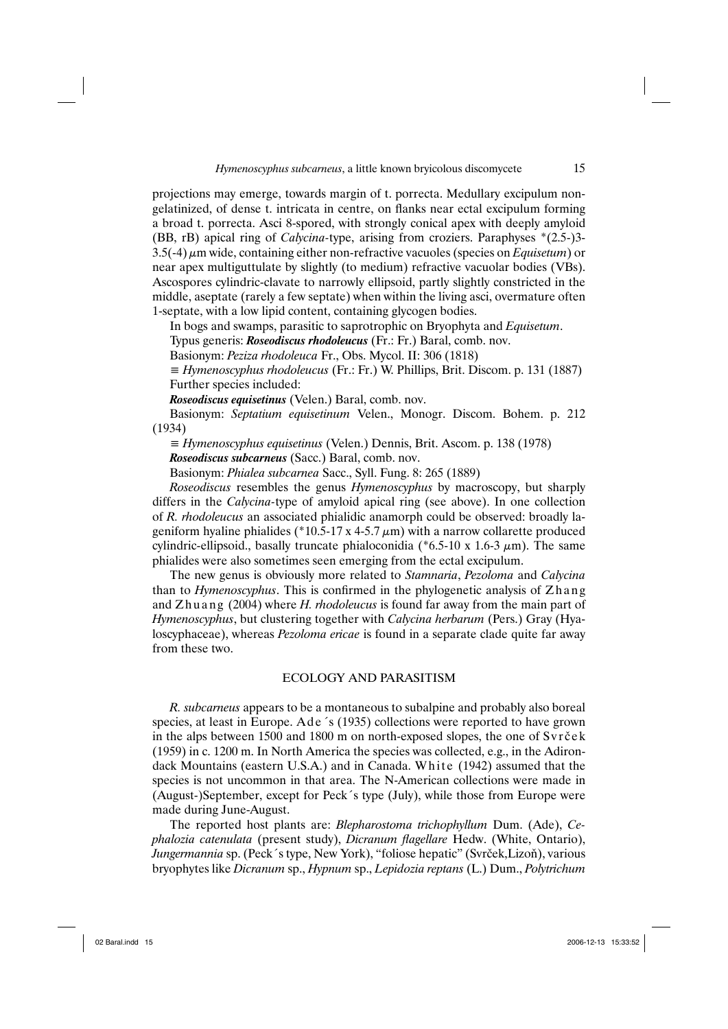projections may emerge, towards margin of t. porrecta. Medullary excipulum nongelatinized, of dense t. intricata in centre, on flanks near ectal excipulum forming a broad t. porrecta. Asci 8-spored, with strongly conical apex with deeply amyloid (BB, rB) apical ring of *Calycina-*type, arising from croziers. Paraphyses \*(2.5-)3- 3.5(-4) μm wide, containing either non-refractive vacuoles (species on *Equisetum*) or near apex multiguttulate by slightly (to medium) refractive vacuolar bodies (VBs). Ascospores cylindric-clavate to narrowly ellipsoid, partly slightly constricted in the middle, aseptate (rarely a few septate) when within the living asci, overmature often 1-septate, with a low lipid content, containing glycogen bodies.

In bogs and swamps, parasitic to saprotrophic on Bryophyta and *Equisetum*.

Typus generis: *Roseodiscus rhodoleucus* (Fr.: Fr.) Baral, comb. nov.

Basionym: *Peziza rhodoleuca* Fr., Obs. Mycol. II: 306 (1818)

*≡ Hymenoscyphus rhodoleucus* (Fr.: Fr.) W. Phillips, Brit. Discom. p. 131 (1887) Further species included:

*Roseodiscus equisetinus* (Velen.) Baral, comb. nov.

Basionym: *Septatium equisetinum* Velen., Monogr. Discom. Bohem. p. 212 (1934)

*≡ Hymenoscyphus equisetinus* (Velen.) Dennis, Brit. Ascom. p. 138 (1978)

*Roseodiscus subcarneus* (Sacc.) Baral, comb. nov.

Basionym: *Phialea subcarnea* Sacc., Syll. Fung. 8: 265 (1889)

*Roseodiscus* resembles the genus *Hymenoscyphus* by macroscopy, but sharply differs in the *Calycina-*type of amyloid apical ring (see above). In one collection of *R. rhodoleucus* an associated phialidic anamorph could be observed: broadly lageniform hyaline phialides (\*10.5-17 x 4-5.7  $\mu$ m) with a narrow collarette produced cylindric-ellipsoid., basally truncate phialoconidia ( $*6.5$ -10 x 1.6-3  $\mu$ m). The same phialides were also sometimes seen emerging from the ectal excipulum.

The new genus is obviously more related to *Stamnaria*, *Pezoloma* and *Calycina* than to *Hymenoscyphus*. This is confirmed in the phylogenetic analysis of Zh a n g and Zhuang (2004) where *H. rhodoleucus* is found far away from the main part of *Hymenoscyphus*, but clustering together with *Calycina herbarum* (Pers.) Gray (Hyaloscyphaceae), whereas *Pezoloma ericae* is found in a separate clade quite far away from these two.

# ECOLOGY AND PARASITISM

*R. subcarneus* appears to be a montaneous to subalpine and probably also boreal species, at least in Europe. Ade 's (1935) collections were reported to have grown in the alps between  $1500$  and  $1800$  m on north-exposed slopes, the one of  $Svr\check{c}\check{e}k$ (1959) in c. 1200 m. In North America the species was collected, e.g., in the Adirondack Mountains (eastern U.S.A.) and in Canada. White (1942) assumed that the species is not uncommon in that area. The N-American collections were made in (August-)September, except for Peck´s type (July), while those from Europe were made during June-August.

The reported host plants are: *Blepharostoma trichophyllum* Dum. (Ade), *Cephalozia catenulata* (present study), *Dicranum flagellare* Hedw. (White, Ontario), *Jungermannia* sp. (Peck´s type, New York), "foliose hepatic" (Svrček,Lizoň), various bryophytes like *Dicranum* sp., *Hypnum* sp., *Lepidozia reptans* (L.) Dum., *Polytrichum*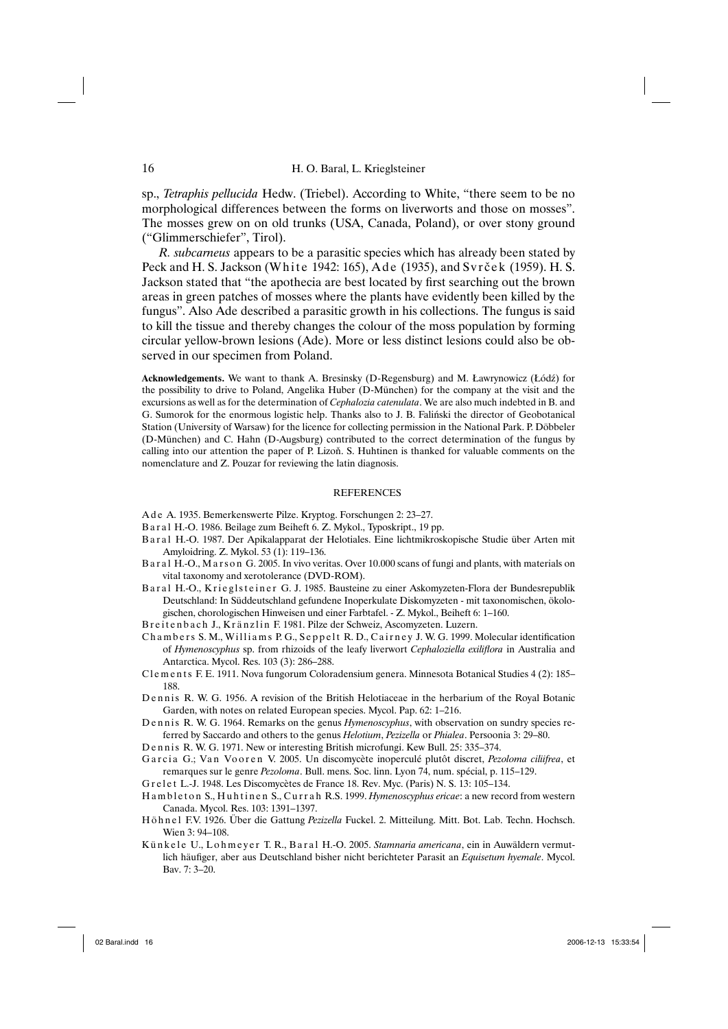sp., *Tetraphis pellucida* Hedw. (Triebel). According to White, "there seem to be no morphological differences between the forms on liverworts and those on mosses". The mosses grew on on old trunks (USA, Canada, Poland), or over stony ground ("Glimmerschiefer", Tirol).

*R. subcarneus* appears to be a parasitic species which has already been stated by Peck and H. S. Jackson (White 1942: 165), Ade (1935), and Svrček (1959). H. S. Jackson stated that "the apothecia are best located by first searching out the brown areas in green patches of mosses where the plants have evidently been killed by the fungus". Also Ade described a parasitic growth in his collections. The fungus is said to kill the tissue and thereby changes the colour of the moss population by forming circular yellow-brown lesions (Ade). More or less distinct lesions could also be observed in our specimen from Poland.

**Acknowledgements.** We want to thank A. Bresinsky (D-Regensburg) and M. Ławrynowicz (Łódź) for the possibility to drive to Poland, Angelika Huber (D-München) for the company at the visit and the excursions as well as for the determination of *Cephalozia catenulata*. We are also much indebted in B. and G. Sumorok for the enormous logistic help. Thanks also to J. B. Faliński the director of Geobotanical Station (University of Warsaw) for the licence for collecting permission in the National Park. P. Döbbeler (D-München) and C. Hahn (D-Augsburg) contributed to the correct determination of the fungus by calling into our attention the paper of P. Lizoň. S. Huhtinen is thanked for valuable comments on the nomenclature and Z. Pouzar for reviewing the latin diagnosis.

#### REFERENCES

- A d e A. 1935. Bemerkenswerte Pilze. Kryptog. Forschungen 2: 23–27.
- Baral H.-O. 1986. Beilage zum Beiheft 6. Z. Mykol., Typoskript., 19 pp.
- B a r a l H.-O. 1987. Der Apikalapparat der Helotiales. Eine lichtmikroskopische Studie über Arten mit Amyloidring. Z. Mykol. 53 (1): 119–136.
- B a r a l H.-O., M a r s o n G. 2005. In vivo veritas. Over 10.000 scans of fungi and plants, with materials on vital taxonomy and xerotolerance (DVD-ROM).
- Baral H.-O., Krieglsteiner G. J. 1985. Bausteine zu einer Askomyzeten-Flora der Bundesrepublik Deutschland: In Süddeutschland gefundene Inoperkulate Diskomyzeten - mit taxonomischen, ökologischen, chorologischen Hinweisen und einer Farbtafel. - Z. Mykol., Beiheft 6: 1–160.
- Breitenbach J., Kränzlin F. 1981. Pilze der Schweiz, Ascomyzeten. Luzern.
- Chambers S. M., Williams P. G., Seppelt R. D., Cairney J. W. G. 1999. Molecular identification of *Hymenoscyphus* sp. from rhizoids of the leafy liverwort *Cephaloziella exiliflora* in Australia and Antarctica. Mycol. Res. 103 (3): 286–288.
- C1e m e n t s F. E. 1911. Nova fungorum Coloradensium genera. Minnesota Botanical Studies 4 (2): 185-188.

Dennis R. W. G. 1956. A revision of the British Helotiaceae in the herbarium of the Royal Botanic Garden, with notes on related European species. Mycol. Pap. 62: 1–216.

- Dennis R. W. G. 1964. Remarks on the genus *Hymenoscyphus*, with observation on sundry species referred by Saccardo and others to the genus *Helotium*, *Pezizella* or *Phialea*. Persoonia 3: 29–80.
- Dennis R. W. G. 1971. New or interesting British microfungi. Kew Bull. 25: 335-374.
- Garcia G.; Van Vooren V. 2005. Un discomycète inoperculé plutôt discret, *Pezoloma ciliifrea*, et remarques sur le genre *Pezoloma*. Bull. mens. Soc. linn. Lyon 74, num. spécial, p. 115–129.

G r e l e t L.-J. 1948. Les Discomycètes de France 18. Rev. Myc. (Paris) N. S. 13: 105–134.

H a m b l e t on S., Hu h t in en S., Currah R.S. 1999. *Hymenoscyphus ericae*: a new record from western Canada. Mycol. Res. 103: 1391–1397.

- H ö h n e l F.V. 1926. Über die Gattung *Pezizella* Fuckel. 2. Mitteilung. Mitt. Bot. Lab. Techn. Hochsch. Wien 3: 94–108.
- Künkele U., Lohmeyer T. R., Baral H.-O. 2005. *Stamnaria americana*, ein in Auwäldern vermutlich häufiger, aber aus Deutschland bisher nicht berichteter Parasit an *Equisetum hyemale*. Mycol. Bav. 7: 3–20.